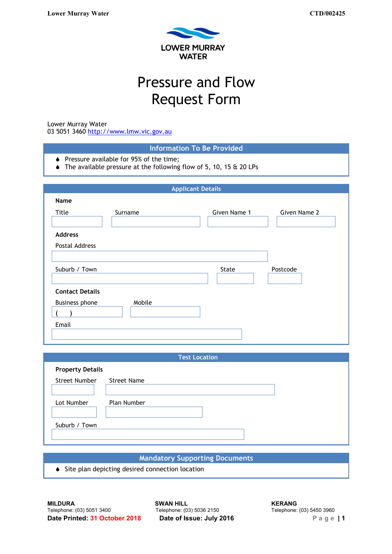

# Pressure and Flow Request Form

Lower Murray Water

03 5051 3460 [http://www.lmw.vic.gov.au](http://www.lmw.vic.gov.au/)

| Name                   |         | <b>Applicant Details</b> |              |
|------------------------|---------|--------------------------|--------------|
| Title                  | Surname | Given Name 1             | Given Name 2 |
| <b>Address</b>         |         |                          |              |
| Postal Address         |         |                          |              |
| Suburb / Town          |         | State                    | Postcode     |
| <b>Contact Details</b> |         |                          |              |
| Business phone         | Mobile  |                          |              |

| <b>Test Location</b>    |                    |  |
|-------------------------|--------------------|--|
| <b>Property Details</b> |                    |  |
| Street Number           | <b>Street Name</b> |  |
| Lot Number              | Plan Number        |  |
| Suburb / Town           |                    |  |

# **Mandatory Supporting Documents**

◆ Site plan depicting desired connection location

**MILDURA SWAN HILL**<br> **SWAN HILL SWAN HILL KERANG KERANG Telephone:** (03) 5036 2150 **Telephone:** (03) 5450 3960 **Date Printed: 31 October 2018 Date of Issue: July 2016** Page | 1

Telephone: (03) 5036 2150